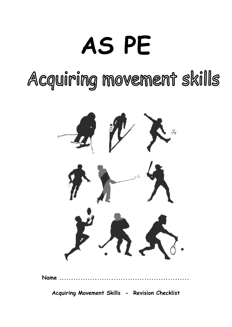# **AS PE**

Acquiring movement skills



**Acquiring Movement Skills - Revision Checklist**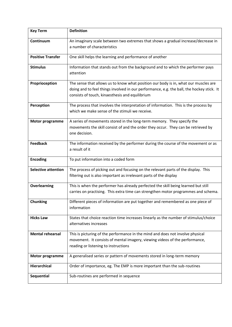| <b>Key Term</b>            | <b>Definition</b>                                                                                                                                                                                                                   |
|----------------------------|-------------------------------------------------------------------------------------------------------------------------------------------------------------------------------------------------------------------------------------|
| Continuum                  | An imaginary scale between two extremes that shows a gradual increase/decrease in<br>a number of characteristics                                                                                                                    |
| <b>Positive Transfer</b>   | One skill helps the learning and performance of another                                                                                                                                                                             |
| <b>Stimulus</b>            | Information that stands out from the background and to which the performer pays<br>attention                                                                                                                                        |
| Proprioception             | The sense that allows us to know what position our body is in, what our muscles are<br>doing and to feel things involved in our performance, e.g. the ball, the hockey stick. It<br>consists of touch, kinaesthesis and equilibrium |
| Perception                 | The process that involves the interpretation of information. This is the process by<br>which we make sense of the stimuli we receive.                                                                                               |
| <b>Motor programme</b>     | A series of movements stored in the long-term memory. They specify the<br>movements the skill consist of and the order they occur. They can be retrieved by<br>one decision.                                                        |
| <b>Feedback</b>            | The information received by the performer during the course of the movement or as<br>a result of it                                                                                                                                 |
| <b>Encoding</b>            | To put information into a coded form                                                                                                                                                                                                |
| <b>Selective attention</b> | The process of picking out and focusing on the relevant parts of the display. This<br>filtering out is also important as irrelevant parts of the display                                                                            |
| Overlearning               | This is when the performer has already perfected the skill being learned but still<br>carries on practising. This extra time can strengthen motor programmes and schema.                                                            |
| <b>Chunking</b>            | Different pieces of information are put together and remembered as one piece of<br>information                                                                                                                                      |
| <b>Hicks Law</b>           | States that choice reaction time increases linearly as the number of stimulus/choice<br>alternatives increases                                                                                                                      |
| <b>Mental rehearsal</b>    | This is picturing of the performance in the mind and does not involve physical<br>movement. It consists of mental imagery, viewing videos of the performance,<br>reading or listening to instructions                               |
| <b>Motor programme</b>     | A generalised series or pattern of movements stored in long-term memory                                                                                                                                                             |
| Hierarchical               | Order of importance, eg. The EMP is more important than the sub-routines                                                                                                                                                            |
| Sequential                 | Sub-routines are performed in sequence                                                                                                                                                                                              |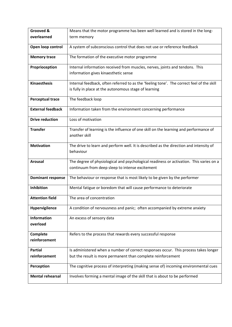| Grooved &                      | Means that the motor programme has been well learned and is stored in the long-                                                            |  |
|--------------------------------|--------------------------------------------------------------------------------------------------------------------------------------------|--|
| overlearned                    | term memory                                                                                                                                |  |
| Open loop control              | A system of subconscious control that does not use or reference feedback                                                                   |  |
| <b>Memory trace</b>            | The formation of the executive motor programme                                                                                             |  |
| Proprioception                 | Internal information received from muscles, nerves, joints and tendons. This                                                               |  |
|                                | information gives kinaesthetic sense                                                                                                       |  |
| <b>Kinaesthesis</b>            | Internal feedback, often referred to as the 'feeling tone'. The correct feel of the skill                                                  |  |
|                                | is fully in place at the autonomous stage of learning                                                                                      |  |
| <b>Perceptual trace</b>        | The feedback loop                                                                                                                          |  |
| <b>External feedback</b>       | Information taken from the environment concerning performance                                                                              |  |
| <b>Drive reduction</b>         | Loss of motivation                                                                                                                         |  |
| <b>Transfer</b>                | Transfer of learning is the influence of one skill on the learning and performance of<br>another skill                                     |  |
| <b>Motivation</b>              | The drive to learn and perform well. It is described as the direction and intensity of<br>behaviour                                        |  |
| Arousal                        | The degree of physiological and psychological readiness or activation. This varies on a<br>continuum from deep sleep to intense excitement |  |
| <b>Dominant response</b>       | The behaviour or response that is most likely to be given by the performer                                                                 |  |
| Inhibition                     | Mental fatigue or boredom that will cause performance to deteriorate                                                                       |  |
| <b>Attention field</b>         | The area of concentration                                                                                                                  |  |
| Hypervigilence                 | A condition of nervousness and panic; often accompanied by extreme anxiety                                                                 |  |
| <b>Information</b><br>overload | An excess of sensory data                                                                                                                  |  |
| Complete<br>reinforcement      | Refers to the process that rewards every successful response                                                                               |  |
| <b>Partial</b>                 | Is administered when a number of correct responses occur. This process takes longer                                                        |  |
| reinforcement                  | but the result is more permanent than complete reinforcement                                                                               |  |
| Perception                     | The cognitive process of interpreting (making sense of) incoming environmental cues                                                        |  |
| <b>Mental rehearsal</b>        | Involves forming a mental image of the skill that is about to be performed                                                                 |  |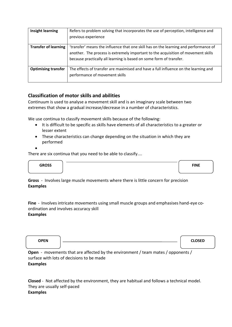| <b>Insight learning</b>     | Refers to problem solving that incorporates the use of perception, intelligence and<br>previous experience                                                                                                                                       |
|-----------------------------|--------------------------------------------------------------------------------------------------------------------------------------------------------------------------------------------------------------------------------------------------|
| <b>Transfer of learning</b> | 'transfer' means the influence that one skill has on the learning and performance of<br>another. The process is extremely important to the acquisition of movement skills<br>because practically all learning is based on some form of transfer. |
| <b>Optimising transfer</b>  | The effects of transfer are maximised and have a full influence on the learning and<br>performance of movement skills                                                                                                                            |

## **Classification of motor skills and abilities**

Continuum is used to analyse a movement skill and is an imaginary scale between two extremes that show a gradual increase/decrease in a number of characteristics.

We use continua to classify movement skills because of the following:

- It is difficult to be specific as skills have elements of all characteristics to a greater or lesser extent
- These characteristics can change depending on the situation in which they are performed
- •

There are six continua that you need to be able to classify....



**Gross** - Involves large muscle movements where there is little concern for precision **Examples**

**Fine** - Involves intricate movements using small muscle groups and emphasises hand-eye coordination and involves accuracy skill **Examples**

| OPEN |                                                                             | <b>CLOSED</b> |
|------|-----------------------------------------------------------------------------|---------------|
|      |                                                                             |               |
| Open | - movements that are affected by the environment / team mates / opponents / |               |

**Open** - movements that are affected by the environment / team mates / opponents / surface with lots of decisions to be made **Examples**

**Closed** - Not affected by the environment, they are habitual and follows a technical model. They are usually self-paced **Examples**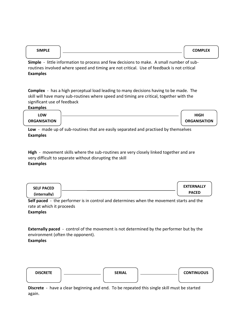| <b>SIMPLE</b> |                                                                                                                                                                                                                               | <b>COMPLEX</b> |
|---------------|-------------------------------------------------------------------------------------------------------------------------------------------------------------------------------------------------------------------------------|----------------|
|               |                                                                                                                                                                                                                               |                |
| et <b>1</b>   | din to the form of the component of the contract of the component of the component of the following the component of the following the component of the following the component of the component of the component of the comp |                |

**Simple** - little information to process and few decisions to make. A small number of subroutines involved where speed and timing are not critical. Use of feedback is not critical **Examples**

**Complex** - has a high perceptual load leading to many decisions having to be made. The skill will have many sub-routines where speed and timing are critical, together with the significant use of feedback

**Examples**

| LOW                 | <b>HIGH</b>         |
|---------------------|---------------------|
| <b>ORGANISATION</b> | <b>ORGANISATION</b> |

**Low** - made up of sub-routines that are easily separated and practised by themselves **Examples**

**High** - movement skills where the sub-routines are very closely linked together and are very difficult to separate without disrupting the skill **Examples**

| <b>SELF PACED</b> | <b>EXTERNALLY</b> |
|-------------------|-------------------|
| (internally)      | <b>PACED</b>      |

**Self paced** - the performer is in control and determines when the movement starts and the rate at which it proceeds Examples

**Externally paced** - control of the movement is not determined by the performer but by the environment (often the opponent). **Examples**



**Discrete** - have a clear beginning and end. To be repeated this single skill must be started again.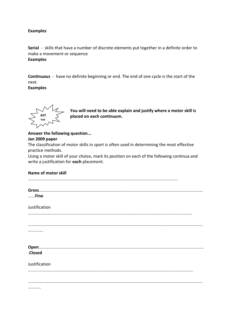#### **Examples**

**Serial** - skills that have a number of discrete elements put together in a definite order to make a movement or sequence **Examples**

**Continuous** - have no definite beginning or end. The end of one cycle is the start of the next.

**Examples**



**You will need to be able explain and justify where a motor skill is placed on each continuum.** 

## **Answer the following question...**

#### **Jan 2009 paper**

The classification of motor skills in sport is often used in determining the most effective practice methods.

Using a motor skill of your choice, mark its position on each of the following continua and write a justification for **each** placement.

| <b>Name of motor skill</b> |
|----------------------------|
|                            |
| Fine                       |
| Justification              |
|                            |
|                            |
|                            |
| .Closed                    |
| Justification              |
|                            |
|                            |
| .                          |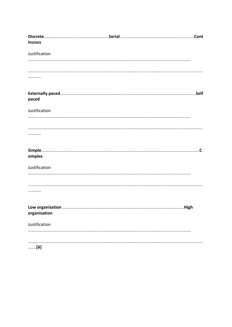| inuous           |  |
|------------------|--|
|                  |  |
| Justification    |  |
|                  |  |
|                  |  |
|                  |  |
|                  |  |
|                  |  |
|                  |  |
|                  |  |
| paced            |  |
| Justification    |  |
|                  |  |
|                  |  |
|                  |  |
|                  |  |
|                  |  |
|                  |  |
|                  |  |
| omplex           |  |
|                  |  |
| Justification    |  |
|                  |  |
|                  |  |
|                  |  |
|                  |  |
|                  |  |
| Low organisation |  |
| organisation     |  |
|                  |  |
| Justification    |  |
|                  |  |
|                  |  |
|                  |  |
| [6]              |  |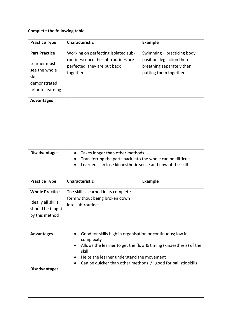# **Complete the following table**

| <b>Practice Type</b>                                                                                | <b>Characteristic</b>                                                                                                                                                                                                                                                             | <b>Example</b>                                                                                                |
|-----------------------------------------------------------------------------------------------------|-----------------------------------------------------------------------------------------------------------------------------------------------------------------------------------------------------------------------------------------------------------------------------------|---------------------------------------------------------------------------------------------------------------|
| <b>Part Practice</b><br>Learner must<br>see the whole<br>skill<br>demonstrated<br>prior to learning | Working on perfecting isolated sub-<br>routines; once the sub-routines are<br>perfected, they are put back<br>together                                                                                                                                                            | Swimming - practicing body<br>position, leg action then<br>breathing separately then<br>putting them together |
| <b>Advantages</b>                                                                                   |                                                                                                                                                                                                                                                                                   |                                                                                                               |
| <b>Disadvantages</b>                                                                                | Takes longer than other methods<br>Transferring the parts back into the whole can be difficult<br>Learners can lose kinaesthetic sense and flow of the skill                                                                                                                      |                                                                                                               |
| <b>Practice Type</b>                                                                                | <b>Characteristic</b>                                                                                                                                                                                                                                                             | <b>Example</b>                                                                                                |
| <b>Whole Practice</b><br>Ideally all skills<br>should be taught<br>by this method                   | The skill is learned in its complete<br>form without being broken down<br>into sub-routines                                                                                                                                                                                       |                                                                                                               |
| <b>Advantages</b>                                                                                   | Good for skills high in organisation or continuous; low in<br>$\bullet$<br>complexity<br>Allows the learner to get the flow & timing (kinaesthesis) of the<br>skill<br>Helps the learner understand the movement<br>Can be quicker than other methods / good for ballistic skills |                                                                                                               |
| <b>Disadvantages</b>                                                                                |                                                                                                                                                                                                                                                                                   |                                                                                                               |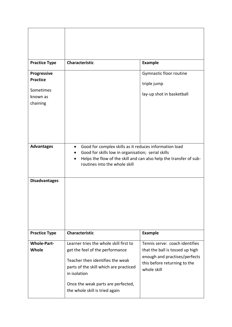| <b>Practice Type</b>  | <b>Characteristic</b>                                                                                                                                                                                                            | <b>Example</b>                                                   |
|-----------------------|----------------------------------------------------------------------------------------------------------------------------------------------------------------------------------------------------------------------------------|------------------------------------------------------------------|
| Progressive           |                                                                                                                                                                                                                                  | Gymnastic floor routine                                          |
| <b>Practice</b>       |                                                                                                                                                                                                                                  | triple jump                                                      |
| Sometimes<br>known as |                                                                                                                                                                                                                                  | lay-up shot in basketball                                        |
| chaining              |                                                                                                                                                                                                                                  |                                                                  |
|                       |                                                                                                                                                                                                                                  |                                                                  |
|                       |                                                                                                                                                                                                                                  |                                                                  |
|                       |                                                                                                                                                                                                                                  |                                                                  |
|                       |                                                                                                                                                                                                                                  |                                                                  |
| <b>Advantages</b>     | Good for complex skills as it reduces information load<br>$\bullet$<br>Good for skills low in organisation; serial skills<br>Helps the flow of the skill and can also help the transfer of sub-<br>routines into the whole skill |                                                                  |
|                       |                                                                                                                                                                                                                                  |                                                                  |
| <b>Disadvantages</b>  |                                                                                                                                                                                                                                  |                                                                  |
| <b>Practice Type</b>  | <b>Characteristic</b>                                                                                                                                                                                                            | <b>Example</b>                                                   |
| <b>Whole-Part-</b>    | Learner tries the whole skill first to                                                                                                                                                                                           | Tennis serve: coach identifies                                   |
| Whole                 | get the feel of the performance                                                                                                                                                                                                  | that the ball is tossed up high<br>enough and practises/perfects |
|                       | Teacher then identifies the weak<br>parts of the skill which are practiced<br>in isolation                                                                                                                                       | this before returning to the<br>whole skill                      |
|                       | Once the weak parts are perfected,<br>the whole skill is tried again                                                                                                                                                             |                                                                  |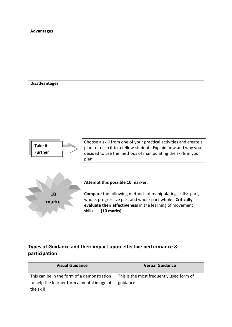

# **Types of Guidance and their impact upon effective performance & participation**

| <b>Visual Guidance</b>                                                                   | <b>Verbal Guidance</b>                               |
|------------------------------------------------------------------------------------------|------------------------------------------------------|
| This can be in the form of a demonstration<br>to help the learner form a mental image of | This is the most frequently used form of<br>guidance |
| the skill                                                                                |                                                      |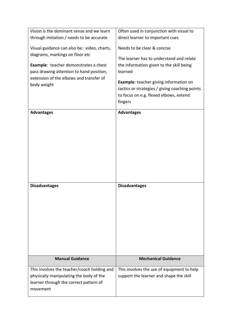| Vision is the dominant sense and we learn                                                                                        | Often used in conjunction with visual to                                                                                                                        |
|----------------------------------------------------------------------------------------------------------------------------------|-----------------------------------------------------------------------------------------------------------------------------------------------------------------|
| through imitation / needs to be accurate                                                                                         | direct learner to important cues<br>Needs to be clear & concise                                                                                                 |
| Visual guidance can also be: video, charts,<br>diagrams, markings on floor etc<br><b>Example:</b> teacher demonstrates a chest   | The learner has to understand and relate<br>the information given to the skill being                                                                            |
| pass drawing attention to hand position,<br>extension of the elbows and transfer of<br>body weight                               | learned<br><b>Example:</b> teacher giving information on<br>tactics or strategies / giving coaching points<br>to focus on e.g. flexed elbows, extend<br>fingers |
| <b>Advantages</b>                                                                                                                | <b>Advantages</b>                                                                                                                                               |
|                                                                                                                                  |                                                                                                                                                                 |
| <b>Disadvantages</b>                                                                                                             | <b>Disadvantages</b>                                                                                                                                            |
| <b>Manual Guidance</b>                                                                                                           | <b>Mechanical Guidance</b>                                                                                                                                      |
| This involves the teacher/coach holding and<br>physically manipulating the body of the<br>learner through the correct pattern of | This involves the use of equipment to help<br>support the learner and shape the skill                                                                           |